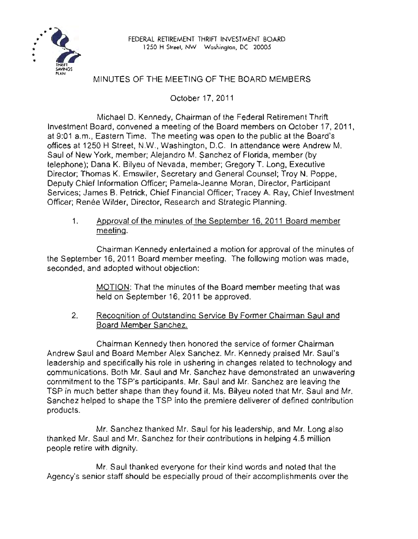

# MINUTES OF THE MEETING OF THE BOARD MEMBERS

October 17, 2011

Michael D. Kennedy, Chairman of the Federal Retirement Thrift Investment Board, convened a meeting of the Board members on October 17, 2011, at 9:01 a.m., Eastern Time. The meeting was open to the public at the Board's offices at 1250 H Street, N.W., Washington, D.C. In attendance were Andrew M. Saul of New York, member; Alejandro M. Sanchez of Florida, member (by telephone); Dana K. Bilyeu of Nevada, member; Gregory T. Long, Executive Director; Thomas K. Emswiler, Secretary and General Counsel; Troy N. Poppe, Deputy Chief Information Officer; Pamela-Jeanne Moran, Director, Participant Services; James B. Petrick, Chief Financial Officer; Tracey A. Ray, Chief Investment Officer; Renée Wilder, Director, Research and Strategic Planning.

1. Approval of the minutes of the September 16, 2011 Board member meeting.

Chairman Kennedy entertained a motion for approval of the minutes of the September 16, 2011 Board member meeting. The following motion was made, seconded, and adopted without objection:

> MOTION: That the minutes of the Board member meeting that was held on September 16, 2011 be approved.

2. Recognition of Outstanding Service By Former Chairman Saul and Board Member Sanchez.

Chairman Kennedy then honored the service of former Chairman Andrew Saul and Board Member Alex Sanchez. Mr. Kennedy praised Mr. Saul's leadership and specifically his role in ushering in changes related to technology and communications. Both Mr. Saul and Mr. Sanchez have demonstrated an unwavering commitment to the TSP's participants. Mr. Saul and Mr. Sanchez are leaving the TSP in much better shape than they found it. Ms. Bilyeu noted that Mr. Saul and Mr. Sanchez helped to shape the TSP into the premiere deliverer of defined contribution products.

Mr. Sanchez thanked Mr. Saul for his leadership, and Mr. Long also thanked Mr. Saul and Mr. Sanchez for their contributions in helping 4.5 million people retire with dignity.

Mr. Saul thanked everyone for their kind words and noted that the Agency's senior staff should be especially proud of their accomplishments over the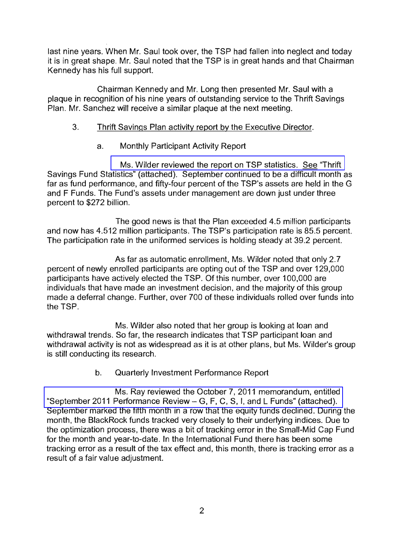last nine years. When Mr. Saul took over, the TSP had fallen into neglect and today it is in great shape. Mr. Saul noted that the TSP is in great hands and that Chairman Kennedy has his full support.

Chairman Kennedy and Mr. Long then presented Mr. Saul with a plaque in recognition of his nine years of outstanding service to the Thrift Savings Plan. Mr. Sanchez will receive a similar plaque at the next meeting.

## 3. Thrift Savings Plan activity report by the Executive Director.

a. Monthly Participant Activity Report

[Ms. Wilder reviewed the report on TSP statistics. See "Thrift](www.frtib.gov/pdf/minutes/MM-2011Oct-Att1.pdf)  Savings Fund Statistics" (attached). September continued to be a difficult month as far as fund performance, and fifty-four percent of the TSP's assets are held in the G and F Funds. The Fund's assets under management are down just under three percent to \$272 billion.

The good news is that the Plan exceeded 4.5 million participants and now has 4.512 million participants. The TSP's participation rate is 85.5 percent. The participation rate in the uniformed services is holding steady at 39.2 percent.

As far as automatic enrollment, Ms. Wilder noted that only 2.7 percent of newly enrolled participants are opting out of the TSP and over 129,000 participants have actively elected the TSP. Of this number, over 100,000 are individuals that have made an investment decision, and the majority of this group made a deferral change. Further, over 700 of these individuals rolled over funds into the TSP.

Ms. Wilder also noted that her group is looking at loan and withdrawal trends. So far, the research indicates that TSP participant loan and withdrawal activity is not as widespread as it is at other plans, but Ms. Wilder's group is still conducting its research.

## b. Quarterly Investment Performance Report

[Ms. Ray reviewed the October 7,2011 memorandum, entitled](www.frtib.gov/pdf/minutes/MM-2011Oct-Att2.pdf)  "September 2011 Performance Review - G, F, C, S, I, and L Funds" (attached). September marked the fifth month in a row that the equity funds declined. During the month, the BlackRock funds tracked very closely to their underlying indices. Due to the optimization process, there was a bit of tracking error in the Small-Mid Cap Fund for the month and year-to-date. In the International Fund there has been some tracking error as a result of the tax effect and, this month, there is tracking error as a result of a fair value adjustment.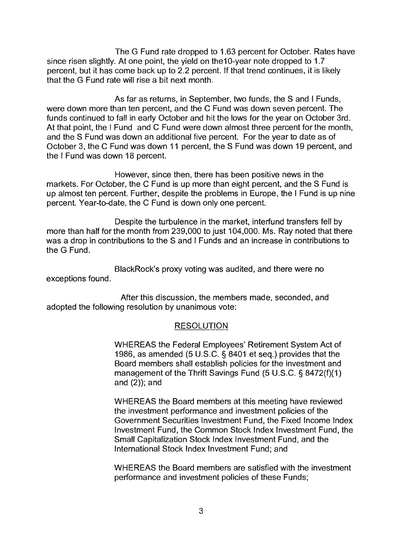The G Fund rate dropped to 1.63 percent for October. Rates have since risen slightly. At one point, the yield on the10-year note dropped to 1.7 percent, but it has come back up to 2.2 percent. If that trend continues, it is likely that the G Fund rate will rise a bit next month.

As far as returns, in September, two funds, the S and I Funds, were down more than ten percent, and the C Fund was down seven percent. The funds continued to fall in early October and hit the lows for the year on October 3rd. At that point, the I Fund and C Fund were down almost three percent for the month, and the S Fund was down an additional five percent. For the year to date as of October 3, the C Fund was down 11 percent, the S Fund was down 19 percent, and the I Fund was down 18 percent.

However, since then, there has been positive news in the markets. For October, the C Fund is up more than eight percent, and the S Fund is up almost ten percent. Further, despite the problems in Europe, the I Fund is up nine percent. Year-to-date, the C Fund is down only one percent.

Despite the turbulence in the market, interfund transfers fell by more than half for the month from 239,000 to just 104,000. Ms. Ray noted that there was a drop in contributions to the S and I Funds and an increase in contributions to the G Fund.

BlackRock's proxy voting was audited, and there were no exceptions found.

After this discussion, the members made, seconded, and adopted the following resolution by unanimous vote:

#### **RESOLUTION**

WHEREAS the Federal Employees' Retirement System Act of 1986, as amended (5 U.S.C. § 8401 et seq.) provides that the Board members shall establish policies for the investment and management of the Thrift Savings Fund (5 U.S.C. § 8472(f)(1) and  $(2)$ ); and

WHEREAS the Board members at this meeting have reviewed the investment performance and investment policies of the Government Securities Investment Fund, the Fixed Income Index Investment Fund, the Common Stock Index Investment Fund, the Small Capitalization Stock Index Investment Fund, and the International Stock Index Investment Fund; and

WHEREAS the Board members are satisfied with the investment performance and investment policies of these Funds;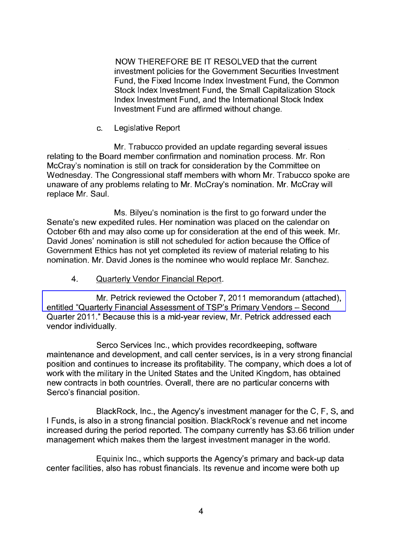NOW THEREFORE BE IT RESOLVED that the current investment policies for the Government Securities Investment Fund, the Fixed Income Index Investment Fund, the Common Stock Index Investment Fund, the Small Capitalization Stock Index Investment Fund, and the International Stock Index Investment Fund are affirmed without change.

c. Legislative Report

Mr. Trabucco provided an update regarding several issues relating to the Board member confirmation and nomination process. Mr. Ron McCray's nomination is still on track for consideration by the Committee on Wednesday. The Congressional staff members with whom Mr. Trabucco spoke are unaware of any problems relating to Mr. McCray's nomination. Mr. McCray will replace Mr. Saul.

Ms. Bilyeu's nomination is the first to go forward under the Senate's new expedited rules. Her nomination was placed on the calendar on October 6th and may also come up for consideration at the end of this week. Mr. David Jones' nomination is still not scheduled for action because the Office of Government Ethics has not yet completed its review of material relating to his nomination. Mr. David Jones is the nominee who would replace Mr. Sanchez.

4. Quarterly Vendor Financial Report.

Mr. Petrick reviewed the October 7,2011 memorandum (attached), [entitled "Quarterly Financial Assessment of TSP's Primary Vendors -](www.frtib.gov/pdf/minutes/MM-2011Oct-Att3.pdf) Second Quarter 2011." Because this is a mid-year review, Mr. Petrick addressed each vendor individually.

Serco Services Inc., which provides recordkeeping, software maintenance and development, and call center services, is in a very strong financial position and continues to increase its profitability. The company, which does a lot of work with the military in the United States and the United Kingdom, has obtained new contracts in both countries. Overall, there are no particular concerns with Serco's financial position.

BlackRock, Inc., the Agency's investment manager for the C, F, S, and I Funds, is also in a strong financial position. BlackRock's revenue and net income increased during the period reported. The company currently has \$3.66 trillion under management which makes them the largest investment manager in the world.

Equinix Inc., which supports the Agency's primary and back-up data center facilities, also has robust financials. Its revenue and income were both up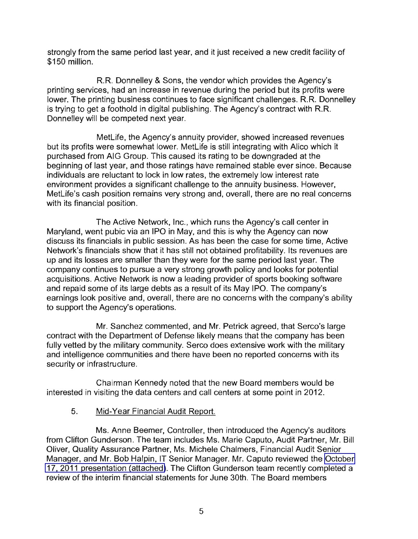strongly from the same period last year, and it just received a new credit facility of \$150 million.

R.R. Donnelley & Sons, the vendor which provides the Agency's printing services, had an increase in revenue during the period but its profits were lower. The printing business continues to face significant challenges. R.R. Donnelley is trying to get a foothold in digital publishing. The Agency's contract with R.R. Donnelley will be competed next year.

MetLife, the Agency's annuity provider, showed increased revenues but its profits were somewhat lower. MetLife is still integrating with Alico which it purchased from AIG Group. This caused its rating to be downgraded at the beginning of last year, and those ratings have remained stable ever since. Because individuals are reluctant to lock in low rates, the extremely low interest rate environment provides a significant challenge to the annuity business. However, MetLife's cash position remains very strong and, overall, there are no real concerns with its financial position.

The Active Network, Inc., which runs the Agency's call center in Maryland, went pubic via an IPO in May, and this is why the Agency can now discuss its financials in public session. As has been the case for some time, Active Network's financials show that it has still not obtained profitability. Its revenues are up and its losses are smaller than they were for the same period last year. The company continues to pursue a very strong growth policy and looks for potential acquisitions. Active Network is now a leading provider of sports booking software and repaid some of its large debts as a result of its May IPO. The company's earnings look positive and, overall, there are no concerns with the company's ability to support the Agency's operations.

Mr. Sanchez commented, and Mr. Petrick agreed, that Serco's large contract with the Department of Defense likely means that the company has been fully vetted by the military community. Serco does extensive work with the military and intelligence communities and there have been no reported concerns with its security or infrastructure.

Chairman Kennedy noted that the new Board members would be interested in visiting the data centers and call centers at some point in 2012.

5. Mid-Year Financial Audit Report.

Ms. Anne Beemer, Controller, then introduced the Agency's auditors from Clifton Gunderson. The team includes Ms. Marie Caputo, Audit Partner, Mr. Bill Oliver, Quality Assurance Partner, Ms. Michele Chalmers, Financial Audit Senior Manager, and Mr. Bob Halpin, IT Senior Manager. Mr. Caputo reviewed the [October](http://www.frtib.gov/pdf/minutes/MM-2011Oct-Att4.pdf)  [17,2011 presentation \(attached\)](http://www.frtib.gov/pdf/minutes/MM-2011Oct-Att4.pdf). The Clifton Gunderson team recently completed a review of the interim financial statements for June 30th. The Board members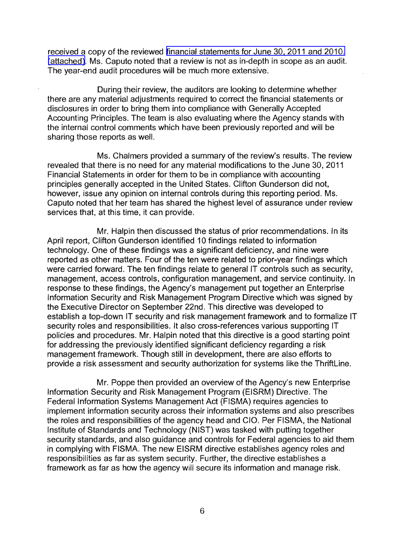received a copy of the reviewed [financial statements for June 30, 2011 and 2010.](http://www.frtib.gov/pdf/minutes/MM-2011Oct-Att5.pdf)  [\(attached\)](http://www.frtib.gov/pdf/minutes/MM-2011Oct-Att5.pdf). Ms. Caputo noted that a review is not as in-depth in scope as an audit. The year-end audit procedures will be much more extensive.

During their review, the auditors are looking to determine whether there are any material adjustments required to correct the financial statements or disclosures in order to bring them into compliance with Generally Accepted Accounting Principles. The team is also evaluating where the Agency stands with the intemal control comments which have been previously reported and will be sharing those reports as well.

Ms. Chalmers provided a summary of the review's results. The review revealed that there is no need for any material modifications to the June 30, 2011 Financial Statements in order for them to be in compliance with accounting principles generally accepted in the United States. Clifton Gunderson did not, however, issue any opinion on internal controls during this reporting period. Ms. Caputo noted that her team has shared the highest level of assurance under review services that, at this time, it can provide.

Mr. Halpin then discussed the status of prior recommendations. In its April report, Clifton Gunderson identified 10 findings related to information technology. One of these findings was a significant deficiency, and nine were reported as other matters. Four of the ten were related to prior-year findings which were carried forward. The ten findings relate to general IT controls such as security, management, access controls, configuration management, and service continuity. In response to these findings, the Agency's management put together an Enterprise Information Security and Risk Management Program Directive which was signed by the Executive Director on September 22nd. This directive was developed to establish a top-down IT security and risk management framework and to formalize IT security roles and responsibilities. It also cross-references various supporting IT policies and procedures. Mr. Halpin noted that this directive is a good starting point for addressing the previously identified significant deficiency regarding a risk management framework. Though still in development, there are also efforts to provide a risk assessment and security authorization for systems like the ThriftLine.

Mr. Poppe then provided an overview of the Agency's new Enterprise Information Security and Risk Management Program (EISRM) Directive. The Federal Information Systems Management Act (FISMA) requires agencies to implement information security across their information systems and also prescribes the roles and responsibilities of the agency head and CIO. Per FISMA, the National Institute of Standards and Technology (NIST) was tasked with putting together security standards, and also guidance and controls for Federal agencies to aid them in complying with FISMA. The new EISRM directive establishes agency roles and responsibilities as far as system security. Further, the directive establishes a framework as far as how the agency will secure its information and manage risk.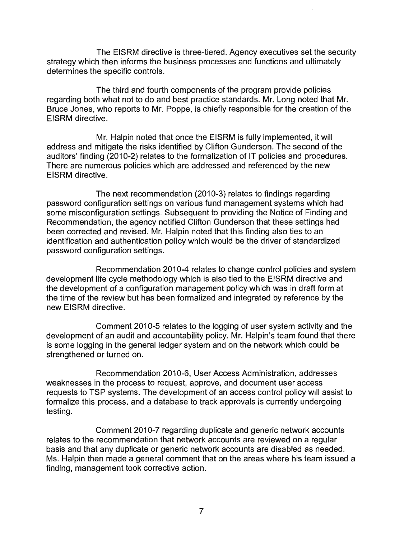The EISRM directive is three-tiered. Agency executives set the security strategy which then informs the business processes and functions and ultimately determines the specific controls.

The third and fourth components of the program provide policies regarding both what not to do and best practice standards. Mr. Long noted that Mr. Bruce Jones, who reports to Mr. Poppe, is chiefly responsible for the creation of the EISRM directive.

Mr. Halpin noted that once the EISRM is fully implemented, it will address and mitigate the risks identified by Clifton Gunderson. The second of the auditors' finding (2010-2) relates to the formalization of IT policies and procedures. There are numerous policies which are addressed and referenced by the new EISRM directive.

The next recommendation (2010-3) relates to findings regarding password configuration settings on various fund management systems which had some misconfiguration settings. Subsequent to providing the Notice of Finding and Recommendation, the agency notified Clifton Gunderson that these settings had been corrected and revised. Mr. Halpin noted that this finding also ties to an identification and authentication policy which would be the driver of standardized password configuration settings.

Recommendation 2010-4 relates to change control policies and system development life cycle methodology which is also tied to the EISRM directive and the development of a configuration management policy which was in draft form at the time of the review but has been formalized and integrated by reference by the new EISRM directive.

Comment 2010-5 relates to the logging of user system activity and the development of an audit and accountability policy. Mr. Halpin's team found that there is some logging in the general ledger system and on the network which could be strengthened or turned on.

Recommendation 2010-6, User Access Administration, addresses weaknesses in the process to request, approve, and document user access requests to TSP systems. The development of an access control policy will assist to formalize this process, and a database to track approvals is currently undergoing testing.

Comment 2010-7 regarding duplicate and generic network accounts relates to the recommendation that network accounts are reviewed on a regular basis and that any duplicate or generic network accounts are disabled as needed. Ms. Halpin then made a general comment that on the areas where his team issued a finding, management took corrective action.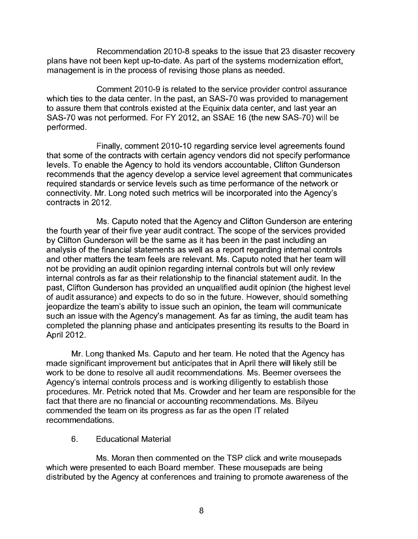Recommendation 2010-8 speaks to the issue that 23 disaster recovery plans have not been kept up-to-date. As part of the systems modernization effort, management is in the process of revising those plans as needed.

Comment 2010-9 is related to the service provider control assurance which ties to the data center. In the past, an SAS-70 was provided to management to assure them that controls existed at the Equinix data center, and last year an SAS-70 was not performed. For FY 2012, an SSAE 16 (the new SAS-70) will be performed.

Finally, comment 2010-10 regarding service level agreements found that some of the contracts with certain agency vendors did not specify performance levels. To enable the Agency to hold its vendors accountable, Clifton Gunderson recommends that the agency develop a service level agreement that communicates required standards or service levels such as time performance of the network or connectivity. Mr. Long noted such metrics will be incorporated into the Agency's contracts in 2012.

Ms. Caputo noted that the Agency and Clifton Gunderson are entering the fourth year of their five year audit contract. The scope of the services provided by Clifton Gunderson will be the same as it has been in the past including an analysis of the financial statements as well as a report regarding internal controls and other matters the team feels are relevant. Ms. Caputo noted that her team will not be providing an audit opinion regarding internal controls but will only review internal controls as far as their relationship to the financial statement audit. In the past, Clifton Gunderson has provided an unqualified audit opinion (the highest level of audit assurance) and expects to do so in the future. However, should something jeopardize the team's ability to issue such an opinion, the team will communicate such an issue with the Agency's management. As far as timing, the audit team has completed the planning phase and anticipates presenting its results to the Board in April 2012.

Mr. Long thanked Ms. Caputo and her team. He noted that the Agency has made significant improvement but anticipates that in April there will likely still be work to be done to resolve all audit recommendations. Ms. Beemer oversees the Agency's internal controls process and is working diligently to establish those procedures. Mr. Petrick noted that Ms. Crowder and her team are responsible for the fact that there are no financial or accounting recommendations. Ms. Bilyeu commended the team on its progress as far as the open IT related recommendations.

### 6. Educational Material

Ms. Moran then commented on the TSP click and write mousepads which were presented to each Board member. These mousepads are being distributed by the Agency at conferences and training to promote awareness of the